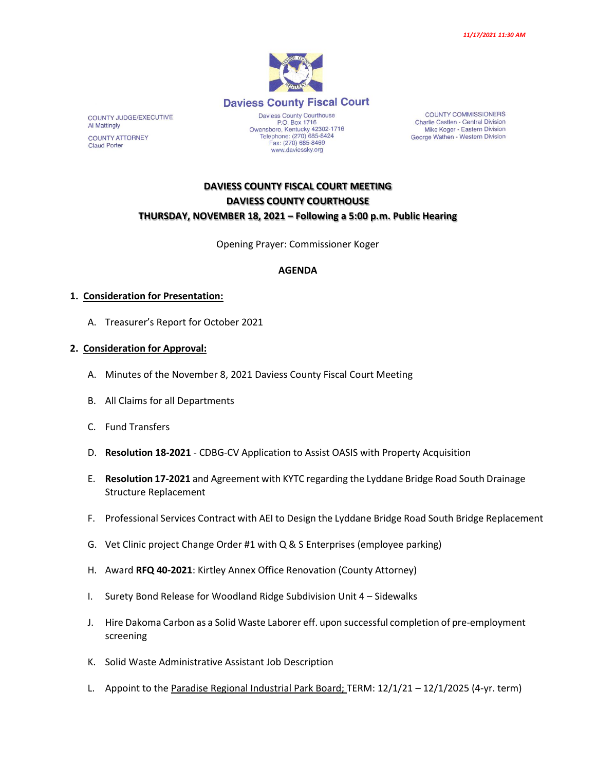

**COUNTY COMMISSIONERS** Charlie Castlen - Central Division Mike Koger - Eastern Division George Wathen - Western Division

# **DAVIESS COUNTY FISCAL COURT MEETING DAVIESS COUNTY COURTHOUSE THURSDAY, NOVEMBER 18, 2021 – Following a 5:00 p.m. Public Hearing**

Opening Prayer: Commissioner Koger

### **AGENDA**

### **1. Consideration for Presentation:**

A. Treasurer's Report for October 2021

### **2. Consideration for Approval:**

- A. Minutes of the November 8, 2021 Daviess County Fiscal Court Meeting
- B. All Claims for all Departments
- C. Fund Transfers
- D. **Resolution 18-2021** CDBG-CV Application to Assist OASIS with Property Acquisition
- E. **Resolution 17-2021** and Agreement with KYTC regarding the Lyddane Bridge Road South Drainage Structure Replacement
- F. Professional Services Contract with AEI to Design the Lyddane Bridge Road South Bridge Replacement
- G. Vet Clinic project Change Order #1 with Q & S Enterprises (employee parking)
- H. Award **RFQ 40-2021**: Kirtley Annex Office Renovation (County Attorney)
- I. Surety Bond Release for Woodland Ridge Subdivision Unit 4 Sidewalks
- J. Hire Dakoma Carbon as a Solid Waste Laborer eff. upon successful completion of pre-employment screening
- K. Solid Waste Administrative Assistant Job Description
- L. Appoint to the Paradise Regional Industrial Park Board; TERM: 12/1/21 12/1/2025 (4-yr. term)

COUNTY JUDGE/EXECUTIVE Al Mattingly **COUNTY ATTORNEY Claud Porter**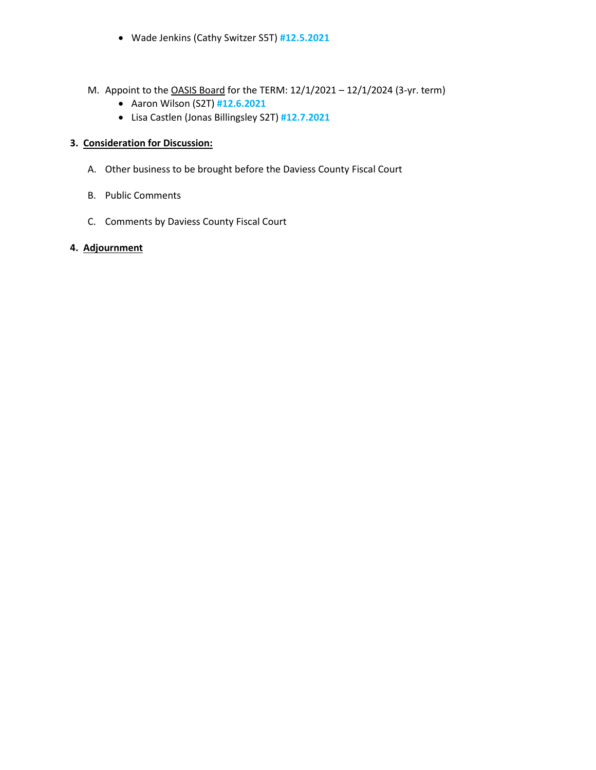- Wade Jenkins (Cathy Switzer S5T) **#12.5.2021**
- M. Appoint to the OASIS Board for the TERM: 12/1/2021 12/1/2024 (3-yr. term)
	- Aaron Wilson (S2T) **#12.6.2021**
	- Lisa Castlen (Jonas Billingsley S2T) **#12.7.2021**

# **3. Consideration for Discussion:**

- A. Other business to be brought before the Daviess County Fiscal Court
- B. Public Comments
- C. Comments by Daviess County Fiscal Court

## **4. Adjournment**